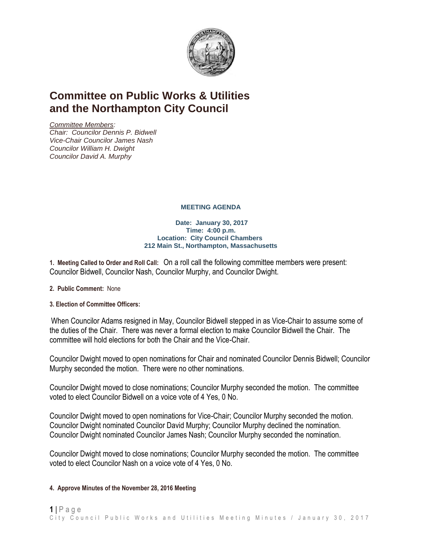

# **Committee on Public Works & Utilities and the Northampton City Council**

*Committee Members: Chair: Councilor Dennis P. Bidwell Vice-Chair Councilor James Nash Councilor William H. Dwight Councilor David A. Murphy*

## **MEETING AGENDA**

#### **Date: January 30, 2017 Time: 4:00 p.m. Location: City Council Chambers 212 Main St., Northampton, Massachusetts**

**1. Meeting Called to Order and Roll Call:** On a roll call the following committee members were present: Councilor Bidwell, Councilor Nash, Councilor Murphy, and Councilor Dwight.

- **2. Public Comment:** None
- **3. Election of Committee Officers:**

When Councilor Adams resigned in May, Councilor Bidwell stepped in as Vice-Chair to assume some of the duties of the Chair. There was never a formal election to make Councilor Bidwell the Chair. The committee will hold elections for both the Chair and the Vice-Chair.

Councilor Dwight moved to open nominations for Chair and nominated Councilor Dennis Bidwell; Councilor Murphy seconded the motion. There were no other nominations.

Councilor Dwight moved to close nominations; Councilor Murphy seconded the motion. The committee voted to elect Councilor Bidwell on a voice vote of 4 Yes, 0 No.

Councilor Dwight moved to open nominations for Vice-Chair; Councilor Murphy seconded the motion. Councilor Dwight nominated Councilor David Murphy; Councilor Murphy declined the nomination. Councilor Dwight nominated Councilor James Nash; Councilor Murphy seconded the nomination.

Councilor Dwight moved to close nominations; Councilor Murphy seconded the motion. The committee voted to elect Councilor Nash on a voice vote of 4 Yes, 0 No.

## **4. Approve Minutes of the November 28, 2016 Meeting**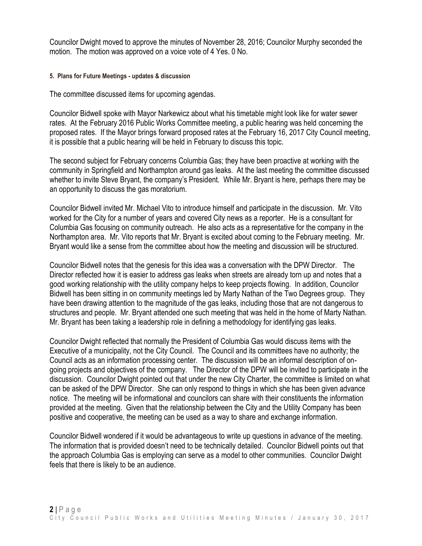Councilor Dwight moved to approve the minutes of November 28, 2016; Councilor Murphy seconded the motion. The motion was approved on a voice vote of 4 Yes. 0 No.

### **5. Plans for Future Meetings - updates & discussion**

The committee discussed items for upcoming agendas.

Councilor Bidwell spoke with Mayor Narkewicz about what his timetable might look like for water sewer rates. At the February 2016 Public Works Committee meeting, a public hearing was held concerning the proposed rates. If the Mayor brings forward proposed rates at the February 16, 2017 City Council meeting, it is possible that a public hearing will be held in February to discuss this topic.

The second subject for February concerns Columbia Gas; they have been proactive at working with the community in Springfield and Northampton around gas leaks. At the last meeting the committee discussed whether to invite Steve Bryant, the company's President. While Mr. Bryant is here, perhaps there may be an opportunity to discuss the gas moratorium.

Councilor Bidwell invited Mr. Michael Vito to introduce himself and participate in the discussion. Mr. Vito worked for the City for a number of years and covered City news as a reporter. He is a consultant for Columbia Gas focusing on community outreach. He also acts as a representative for the company in the Northampton area. Mr. Vito reports that Mr. Bryant is excited about coming to the February meeting. Mr. Bryant would like a sense from the committee about how the meeting and discussion will be structured.

Councilor Bidwell notes that the genesis for this idea was a conversation with the DPW Director. The Director reflected how it is easier to address gas leaks when streets are already torn up and notes that a good working relationship with the utility company helps to keep projects flowing. In addition, Councilor Bidwell has been sitting in on community meetings led by Marty Nathan of the Two Degrees group. They have been drawing attention to the magnitude of the gas leaks, including those that are not dangerous to structures and people. Mr. Bryant attended one such meeting that was held in the home of Marty Nathan. Mr. Bryant has been taking a leadership role in defining a methodology for identifying gas leaks.

Councilor Dwight reflected that normally the President of Columbia Gas would discuss items with the Executive of a municipality, not the City Council. The Council and its committees have no authority; the Council acts as an information processing center. The discussion will be an informal description of ongoing projects and objectives of the company. The Director of the DPW will be invited to participate in the discussion. Councilor Dwight pointed out that under the new City Charter, the committee is limited on what can be asked of the DPW Director. She can only respond to things in which she has been given advance notice. The meeting will be informational and councilors can share with their constituents the information provided at the meeting. Given that the relationship between the City and the Utility Company has been positive and cooperative, the meeting can be used as a way to share and exchange information.

Councilor Bidwell wondered if it would be advantageous to write up questions in advance of the meeting. The information that is provided doesn't need to be technically detailed. Councilor Bidwell points out that the approach Columbia Gas is employing can serve as a model to other communities. Councilor Dwight feels that there is likely to be an audience.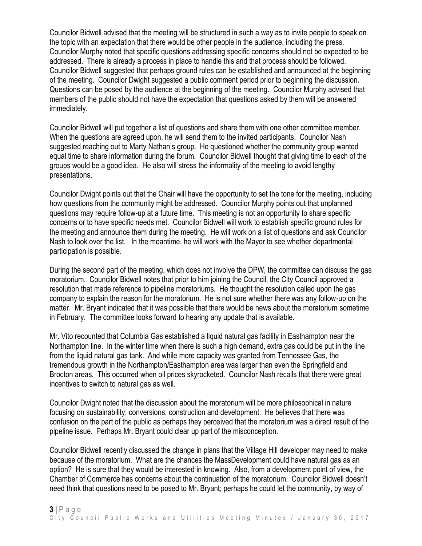Councilor Bidwell advised that the meeting will be structured in such a way as to invite people to speak on the topic with an expectation that there would be other people in the audience, including the press. Councilor Murphy noted that specific questions addressing specific concerns should not be expected to be addressed. There is already a process in place to handle this and that process should be followed. Councilor Bidwell suggested that perhaps ground rules can be established and announced at the beginning of the meeting. Councilor Dwight suggested a public comment period prior to beginning the discussion. Questions can be posed by the audience at the beginning of the meeting. Councilor Murphy advised that members of the public should not have the expectation that questions asked by them will be answered immediately.

Councilor Bidwell will put together a list of questions and share them with one other committee member. When the questions are agreed upon, he will send them to the invited participants. Councilor Nash suggested reaching out to Marty Nathan's group. He questioned whether the community group wanted equal time to share information during the forum. Councilor Bidwell thought that giving time to each of the groups would be a good idea. He also will stress the informality of the meeting to avoid lengthy presentations.

Councilor Dwight points out that the Chair will have the opportunity to set the tone for the meeting, including how questions from the community might be addressed. Councilor Murphy points out that unplanned questions may require follow-up at a future time. This meeting is not an opportunity to share specific concerns or to have specific needs met. Councilor Bidwell will work to establish specific ground rules for the meeting and announce them during the meeting. He will work on a list of questions and ask Councilor Nash to look over the list. In the meantime, he will work with the Mayor to see whether departmental participation is possible.

During the second part of the meeting, which does not involve the DPW, the committee can discuss the gas moratorium. Councilor Bidwell notes that prior to him joining the Council, the City Council approved a resolution that made reference to pipeline moratoriums. He thought the resolution called upon the gas company to explain the reason for the moratorium. He is not sure whether there was any follow-up on the matter. Mr. Bryant indicated that it was possible that there would be news about the moratorium sometime in February. The committee looks forward to hearing any update that is available.

Mr. Vito recounted that Columbia Gas established a liquid natural gas facility in Easthampton near the Northampton line. In the winter time when there is such a high demand, extra gas could be put in the line from the liquid natural gas tank. And while more capacity was granted from Tennessee Gas, the tremendous growth in the Northampton/Easthampton area was larger than even the Springfield and Brocton areas. This occurred when oil prices skyrocketed. Councilor Nash recalls that there were great incentives to switch to natural gas as well.

Councilor Dwight noted that the discussion about the moratorium will be more philosophical in nature focusing on sustainability, conversions, construction and development. He believes that there was confusion on the part of the public as perhaps they perceived that the moratorium was a direct result of the pipeline issue. Perhaps Mr. Bryant could clear up part of the misconception.

Councilor Bidwell recently discussed the change in plans that the Village Hill developer may need to make because of the moratorium. What are the chances the MassDevelopment could have natural gas as an option? He is sure that they would be interested in knowing. Also, from a development point of view, the Chamber of Commerce has concerns about the continuation of the moratorium. Councilor Bidwell doesn't need think that questions need to be posed to Mr. Bryant; perhaps he could let the community, by way of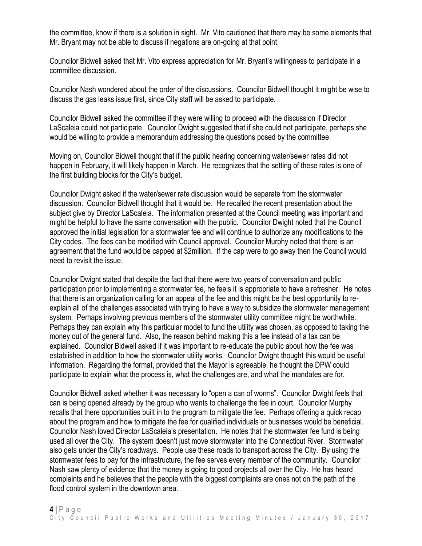the committee, know if there is a solution in sight. Mr. Vito cautioned that there may be some elements that Mr. Bryant may not be able to discuss if negations are on-going at that point.

Councilor Bidwell asked that Mr. Vito express appreciation for Mr. Bryant's willingness to participate in a committee discussion.

Councilor Nash wondered about the order of the discussions. Councilor Bidwell thought it might be wise to discuss the gas leaks issue first, since City staff will be asked to participate.

Councilor Bidwell asked the committee if they were willing to proceed with the discussion if Director LaScaleia could not participate. Councilor Dwight suggested that if she could not participate, perhaps she would be willing to provide a memorandum addressing the questions posed by the committee.

Moving on, Councilor Bidwell thought that if the public hearing concerning water/sewer rates did not happen in February, it will likely happen in March. He recognizes that the setting of these rates is one of the first building blocks for the City's budget.

Councilor Dwight asked if the water/sewer rate discussion would be separate from the stormwater discussion. Councilor Bidwell thought that it would be. He recalled the recent presentation about the subject give by Director LaScaleia. The information presented at the Council meeting was important and might be helpful to have the same conversation with the public. Councilor Dwight noted that the Council approved the initial legislation for a stormwater fee and will continue to authorize any modifications to the City codes. The fees can be modified with Council approval. Councilor Murphy noted that there is an agreement that the fund would be capped at \$2million. If the cap were to go away then the Council would need to revisit the issue.

Councilor Dwight stated that despite the fact that there were two years of conversation and public participation prior to implementing a stormwater fee, he feels it is appropriate to have a refresher. He notes that there is an organization calling for an appeal of the fee and this might be the best opportunity to reexplain all of the challenges associated with trying to have a way to subsidize the stormwater management system. Perhaps involving previous members of the stormwater utility committee might be worthwhile. Perhaps they can explain why this particular model to fund the utility was chosen, as opposed to taking the money out of the general fund. Also, the reason behind making this a fee instead of a tax can be explained. Councilor Bidwell asked if it was important to re-educate the public about how the fee was established in addition to how the stormwater utility works. Councilor Dwight thought this would be useful information. Regarding the format, provided that the Mayor is agreeable, he thought the DPW could participate to explain what the process is, what the challenges are, and what the mandates are for.

Councilor Bidwell asked whether it was necessary to "open a can of worms". Councilor Dwight feels that can is being opened already by the group who wants to challenge the fee in court. Councilor Murphy recalls that there opportunities built in to the program to mitigate the fee. Perhaps offering a quick recap about the program and how to mitigate the fee for qualified individuals or businesses would be beneficial. Councilor Nash loved Director LaScaleia's presentation. He notes that the stormwater fee fund is being used all over the City. The system doesn't just move stormwater into the Connecticut River. Stormwater also gets under the City's roadways. People use these roads to transport across the City. By using the stormwater fees to pay for the infrastructure, the fee serves every member of the community. Councilor Nash saw plenty of evidence that the money is going to good projects all over the City. He has heard complaints and he believes that the people with the biggest complaints are ones not on the path of the flood control system in the downtown area.